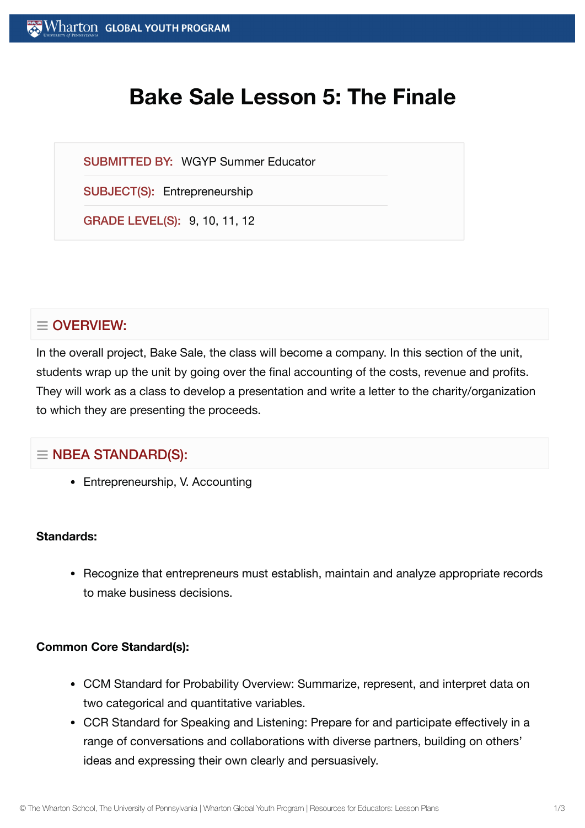# **Bake Sale Lesson 5: The Finale**

SUBMITTED BY: WGYP Summer Educator

SUBJECT(S): Entrepreneurship

GRADE LEVEL(S): 9, 10, 11, 12

# $\equiv$  OVERVIEW:

In the overall project, Bake Sale, the class will become a company. In this section of the unit, students wrap up the unit by going over the final accounting of the costs, revenue and profits. They will work as a class to develop a presentation and write a letter to the charity/organization to which they are presenting the proceeds.

# $\equiv$  NBEA STANDARD(S):

Entrepreneurship, V. Accounting

## **Standards:**

• Recognize that entrepreneurs must establish, maintain and analyze appropriate records to make business decisions.

## **Common Core Standard(s):**

- CCM Standard for Probability Overview: Summarize, represent, and interpret data on two categorical and quantitative variables.
- CCR Standard for Speaking and Listening: Prepare for and participate effectively in a range of conversations and collaborations with diverse partners, building on others' ideas and expressing their own clearly and persuasively.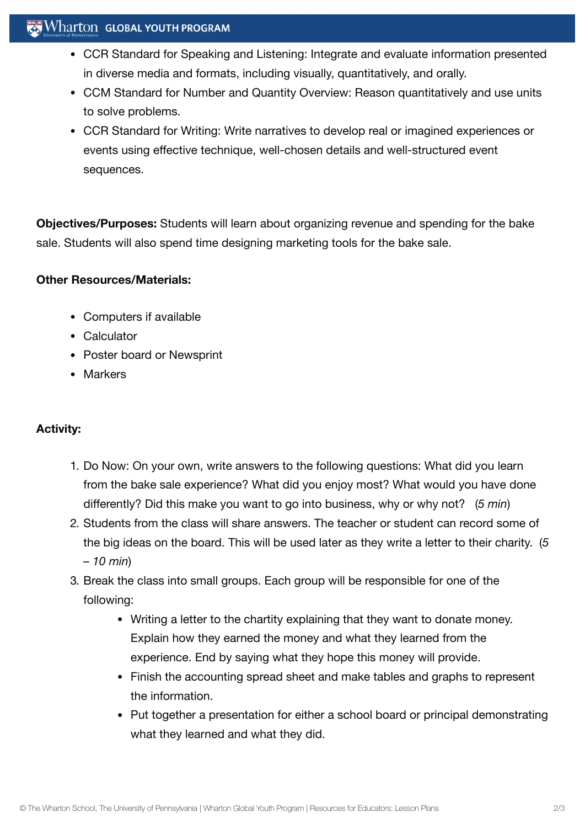# $\mathbb{R}^n$  Wharton Global Youth Program

- CCR Standard for Speaking and Listening: Integrate and evaluate information presented in diverse media and formats, including visually, quantitatively, and orally.
- CCM Standard for Number and Quantity Overview: Reason quantitatively and use units to solve problems.
- CCR Standard for Writing: Write narratives to develop real or imagined experiences or events using effective technique, well-chosen details and well-structured event sequences.

**Objectives/Purposes:** Students will learn about organizing revenue and spending for the bake sale. Students will also spend time designing marketing tools for the bake sale.

## **Other Resources/Materials:**

- Computers if available
- Calculator
- Poster board or Newsprint
- Markers

# **Activity:**

- 1. Do Now: On your own, write answers to the following questions: What did you learn from the bake sale experience? What did you enjoy most? What would you have done differently? Did this make you want to go into business, why or why not? (*5 min*)
- 2. Students from the class will share answers. The teacher or student can record some of the big ideas on the board. This will be used later as they write a letter to their charity. (*5 – 10 min*)
- 3. Break the class into small groups. Each group will be responsible for one of the following:
	- Writing a letter to the chartity explaining that they want to donate money. Explain how they earned the money and what they learned from the experience. End by saying what they hope this money will provide.
	- Finish the accounting spread sheet and make tables and graphs to represent the information.
	- Put together a presentation for either a school board or principal demonstrating what they learned and what they did.